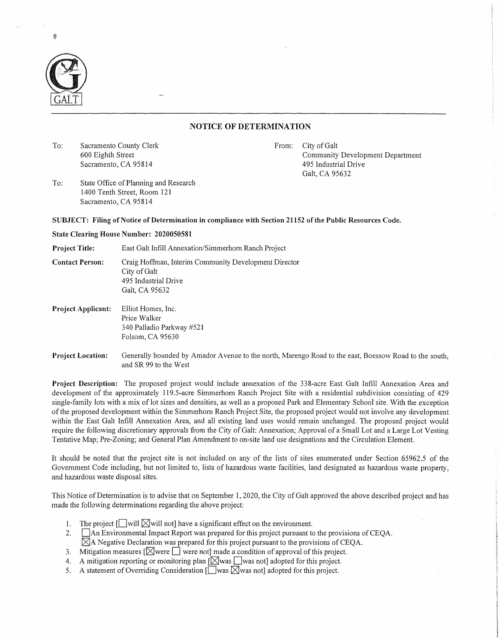

## **NOTICE OF DETERMINATION**

To: Sacramento County Clerk 600 Eighth Street Sacramento, CA 95814

From: City of Galt Community Development Department 495 Industrial Drive Galt, CA 95632

To: State Office of Planning and Research 1400 Tenth Street, Room 121 Sacramento, CA 95814

## **SUBJECT: Filing of Notice of Determination in compliance with Section 21152 of the Public Resources Code.**

## **State Clearing House Number: 2020050581**

**Project Title:** East Galt Infill Annexation/Simmerhorn Ranch Project

**Contact Person:** Craig Hoffman, Interim Community Development Director City of Galt 495 Industrial Drive Galt, CA 95632

- **Project Applicant:** Elliot Homes, Inc. Price Walker 340 Palladio Parkway #521 Folsom, CA 95630
- **Project Location:** Generally bounded by Amador Avenue to the north, Marengo Road to the east, Boessow Road to the south, and SR 99 to the West

**Project Description:** The proposed project would include annexation of the 338-acre East Galt Infill Annexation Area and development of the approximately 119.5-acre Simmerhorn Ranch Project Site with a residential subdivision consisting of 429 single-family lots with a mix of lot sizes and densities, as well as a proposed Park and Elementary School site. With the exception of the proposed development within the Simmerhorn Ranch Project Site, the proposed project would not involve any development within the East Galt Infill Annexation Area, and all existing land uses would remain unchanged. The proposed project would require the following discretionary approvals from the City of Galt: Annexation; Approval of a Small Lot and a Large Lot Vesting Tentative Map; Pre-Zoning; and General Plan Amendment to on-site land use designations and the Circulation Element.

It should be noted that the project site is not included on any of the lists of sites enumerated under Section 65962.5 of the Government Code including, but not limited to, lists of hazardous waste facilities, land designated as hazardous waste property, and hazardous waste disposal sites.

This Notice of Determination is to advise that on September 1, 2020, the City of Galt approved the above described project and has made the following determinations regarding the above project:

- 1. The project  $\Box$  will  $\boxtimes$  will not] have a significant effect on the environment.
- 2. **An Environmental Impact Report was prepared for this project pursuant to the provisions of CEQA.**  $\boxtimes$ A Negative Declaration was prepared for this project pursuant to the provisions of CEQA.
- 3. Mitigation measures  $\sqrt{\phantom{a}}\right\}$  were note made a condition of approval of this project.
- 4. A mitigation reporting or monitoring plan  $[\boxtimes]$  was  $\Box$  was not] adopted for this project.
- 5. A statement of Overriding Consideration  $\lceil \log N \rceil$  adopted for this project.

#